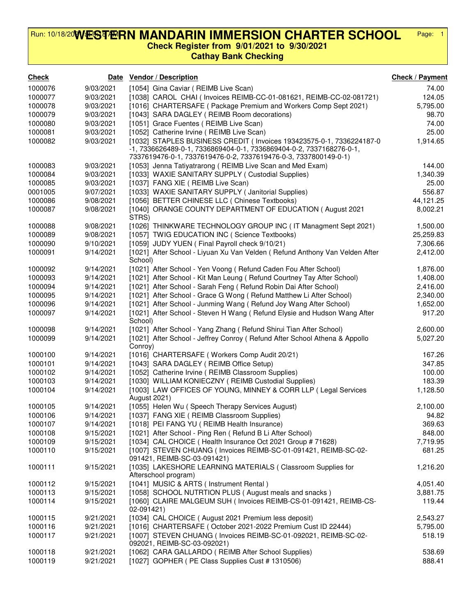## **WESTERN MANDARIN IMMERSION CHARTER SCHOOL** Run: 10/18/20**V/ÆST/EIRN MANDARIN IMMERSION CHARTER SCHOOL** Page: 1

**Check Register from 9/01/2021 to 9/30/2021**

**Cathay Bank Checking**

| <b>Check</b> |           | Date Vendor / Description                                                                                                                   | Check / Payment |
|--------------|-----------|---------------------------------------------------------------------------------------------------------------------------------------------|-----------------|
| 1000076      | 9/03/2021 | [1054] Gina Caviar (REIMB Live Scan)                                                                                                        | 74.00           |
| 1000077      | 9/03/2021 | [1038] CAROL CHAI ( Invoices REIMB-CC-01-081621, REIMB-CC-02-081721)                                                                        | 124.05          |
| 1000078      | 9/03/2021 | [1016] CHARTERSAFE ( Package Premium and Workers Comp Sept 2021)                                                                            | 5,795.00        |
| 1000079      | 9/03/2021 | [1043] SARA DAGLEY ( REIMB Room decorations)                                                                                                | 98.70           |
| 1000080      | 9/03/2021 | [1051] Grace Fuentes ( REIMB Live Scan)                                                                                                     | 74.00           |
| 1000081      | 9/03/2021 | [1052] Catherine Irvine ( REIMB Live Scan)                                                                                                  | 25.00           |
| 1000082      | 9/03/2021 | [1032] STAPLES BUSINESS CREDIT (Invoices 193423575-0-1, 7336224187-0<br>-1, 7336626489-0-1, 7336869404-0-1, 7336869404-0-2, 7337168276-0-1, | 1,914.65        |
|              |           | 7337619476-0-1, 7337619476-0-2, 7337619476-0-3, 7337800149-0-1)                                                                             |                 |
| 1000083      | 9/03/2021 | [1053] Jenna Tatiyatrarong (REIMB Live Scan and Med Exam)                                                                                   | 144.00          |
| 1000084      | 9/03/2021 | [1033] WAXIE SANITARY SUPPLY ( Custodial Supplies)                                                                                          | 1,340.39        |
| 1000085      | 9/03/2021 | [1037] FANG XIE ( REIMB Live Scan)                                                                                                          | 25.00           |
| 0001005      | 9/07/2021 | [1033] WAXIE SANITARY SUPPLY (Janitorial Supplies)                                                                                          | 556.87          |
| 1000086      | 9/08/2021 | [1056] BETTER CHINESE LLC ( Chinese Textbooks)                                                                                              | 44,121.25       |
| 1000087      | 9/08/2021 | [1040] ORANGE COUNTY DEPARTMENT OF EDUCATION (August 2021<br>STRS)                                                                          | 8,002.21        |
| 1000088      | 9/08/2021 | [1026] THINKWARE TECHNOLOGY GROUP INC (IT Managment Sept 2021)                                                                              | 1,500.00        |
| 1000089      | 9/08/2021 | [1057] TWIG EDUCATION INC (Science Textbooks)                                                                                               | 25,259.83       |
| 1000090      | 9/10/2021 | [1059] JUDY YUEN (Final Payroll check 9/10/21)                                                                                              | 7,306.66        |
| 1000091      | 9/14/2021 | [1021] After School - Liyuan Xu Van Velden ( Refund Anthony Van Velden After<br>School)                                                     | 2,412.00        |
| 1000092      | 9/14/2021 | [1021] After School - Yen Voong (Refund Caden Fou After School)                                                                             | 1,876.00        |
| 1000093      | 9/14/2021 | [1021] After School - Kit Man Leung (Refund Courtney Tay After School)                                                                      | 1,408.00        |
| 1000094      | 9/14/2021 | [1021] After School - Sarah Feng ( Refund Robin Dai After School)                                                                           | 2,416.00        |
| 1000095      | 9/14/2021 | [1021] After School - Grace G Wong (Refund Matthew Li After School)                                                                         | 2,340.00        |
| 1000096      | 9/14/2021 | [1021] After School - Junming Wang (Refund Joy Wang After School)                                                                           | 1,652.00        |
| 1000097      | 9/14/2021 | [1021] After School - Steven H Wang (Refund Elysie and Hudson Wang After<br>School)                                                         | 917.20          |
| 1000098      | 9/14/2021 | [1021] After School - Yang Zhang ( Refund Shirui Tian After School)                                                                         | 2,600.00        |
| 1000099      | 9/14/2021 | [1021] After School - Jeffrey Conroy (Refund After School Athena & Appollo<br>Conroy)                                                       | 5,027.20        |
| 1000100      | 9/14/2021 | [1016] CHARTERSAFE (Workers Comp Audit 20/21)                                                                                               | 167.26          |
| 1000101      | 9/14/2021 | [1043] SARA DAGLEY ( REIMB Office Setup)                                                                                                    | 347.85          |
| 1000102      | 9/14/2021 | [1052] Catherine Irvine ( REIMB Classroom Supplies)                                                                                         | 100.00          |
| 1000103      | 9/14/2021 | [1030] WILLIAM KONIECZNY (REIMB Custodial Supplies)                                                                                         | 183.39          |
| 1000104      | 9/14/2021 | [1003] LAW OFFICES OF YOUNG, MINNEY & CORR LLP ( Legal Services<br>August 2021)                                                             | 1,128.50        |
| 1000105      | 9/14/2021 | [1055] Helen Wu (Speech Therapy Services August)                                                                                            | 2,100.00        |
| 1000106      | 9/14/2021 | [1037] FANG XIE ( REIMB Classroom Supplies)                                                                                                 | 94.82           |
| 1000107      | 9/14/2021 | [1018] PEI FANG YU ( REIMB Health Insurance)                                                                                                | 369.63          |
| 1000108      | 9/15/2021 | [1021] After School - Ping Ren ( Refund B Li After School)                                                                                  | 848.00          |
| 1000109      | 9/15/2021 | [1034] CAL CHOICE (Health Insurance Oct 2021 Group # 71628)                                                                                 | 7,719.95        |
| 1000110      | 9/15/2021 | [1007] STEVEN CHUANG (Invoices REIMB-SC-01-091421, REIMB-SC-02-<br>091421, REIMB-SC-03-091421)                                              | 681.25          |
| 1000111      | 9/15/2021 | [1035] LAKESHORE LEARNING MATERIALS ( Classroom Supplies for<br>Afterschool program)                                                        | 1,216.20        |
| 1000112      | 9/15/2021 | [1041] MUSIC & ARTS ( Instrument Rental )                                                                                                   | 4,051.40        |
| 1000113      | 9/15/2021 | [1058] SCHOOL NUTRTION PLUS (August meals and snacks)                                                                                       | 3,881.75        |
| 1000114      | 9/15/2021 | [1060] CLAIRE MALGEUM SUH (Invoices REIMB-CS-01-091421, REIMB-CS-<br>02-091421)                                                             | 119.44          |
| 1000115      | 9/21/2021 | [1034] CAL CHOICE (August 2021 Premium less deposit)                                                                                        | 2,543.27        |
| 1000116      | 9/21/2021 | [1016] CHARTERSAFE (October 2021-2022 Premium Cust ID 22444)                                                                                | 5,795.00        |
| 1000117      | 9/21/2021 | [1007] STEVEN CHUANG (Invoices REIMB-SC-01-092021, REIMB-SC-02-<br>092021, REIMB-SC-03-092021)                                              | 518.19          |
| 1000118      | 9/21/2021 | [1062] CARA GALLARDO (REIMB After School Supplies)                                                                                          | 538.69          |
| 1000119      | 9/21/2021 | [1027] GOPHER ( PE Class Supplies Cust # 1310506)                                                                                           | 888.41          |